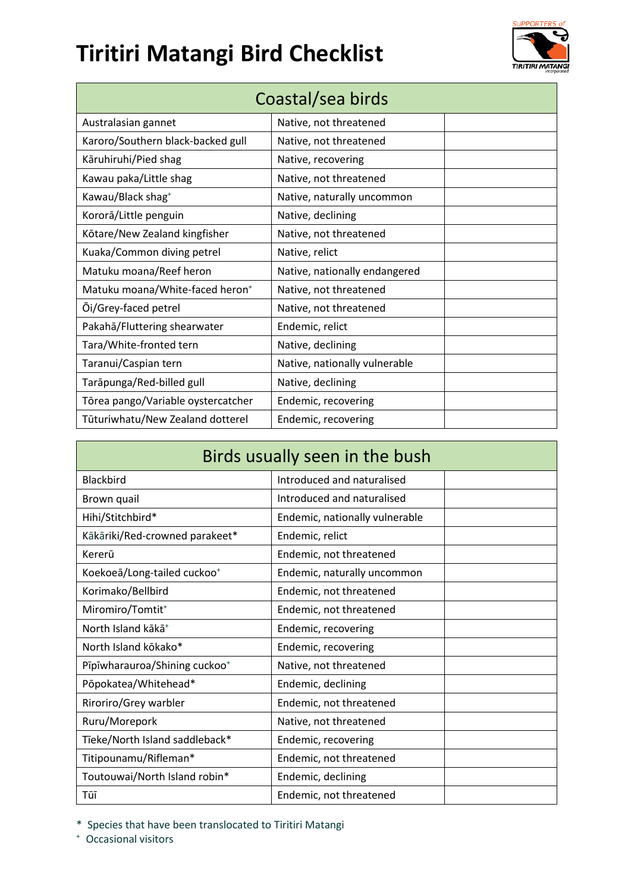## **Tiritiri Matangi Bird Checklist**



| Coastal/sea birds                           |                               |  |
|---------------------------------------------|-------------------------------|--|
| Australasian gannet                         | Native, not threatened        |  |
| Karoro/Southern black-backed gull           | Native, not threatened        |  |
| Kāruhiruhi/Pied shag                        | Native, recovering            |  |
| Kawau paka/Little shag                      | Native, not threatened        |  |
| Kawau/Black shag <sup>+</sup>               | Native, naturally uncommon    |  |
| Kororā/Little penguin                       | Native, declining             |  |
| Kōtare/New Zealand kingfisher               | Native, not threatened        |  |
| Kuaka/Common diving petrel                  | Native, relict                |  |
| Matuku moana/Reef heron                     | Native, nationally endangered |  |
| Matuku moana/White-faced heron <sup>+</sup> | Native, not threatened        |  |
| Oi/Grey-faced petrel                        | Native, not threatened        |  |
| Pakahā/Fluttering shearwater                | Endemic, relict               |  |
| Tara/White-fronted tern                     | Native, declining             |  |
| Taranui/Caspian tern                        | Native, nationally vulnerable |  |
| Tarāpunga/Red-billed gull                   | Native, declining             |  |
| Tōrea pango/Variable oystercatcher          | Endemic, recovering           |  |
| Tūturiwhatu/New Zealand dotterel            | Endemic, recovering           |  |

| Birds usually seen in the bush            |                                |  |
|-------------------------------------------|--------------------------------|--|
| <b>Blackbird</b>                          | Introduced and naturalised     |  |
| Brown quail                               | Introduced and naturalised     |  |
| Hihi/Stitchbird*                          | Endemic, nationally vulnerable |  |
| Kākāriki/Red-crowned parakeet*            | Endemic, relict                |  |
| Kererū                                    | Endemic, not threatened        |  |
| Koekoeā/Long-tailed cuckoo <sup>+</sup>   | Endemic, naturally uncommon    |  |
| Korimako/Bellbird                         | Endemic, not threatened        |  |
| Miromiro/Tomtit <sup>+</sup>              | Endemic, not threatened        |  |
| North Island kākā <sup>+</sup>            | Endemic, recovering            |  |
| North Island kōkako*                      | Endemic, recovering            |  |
| Pīpīwharauroa/Shining cuckoo <sup>+</sup> | Native, not threatened         |  |
| Pōpokatea/Whitehead*                      | Endemic, declining             |  |
| Riroriro/Grey warbler                     | Endemic, not threatened        |  |
| Ruru/Morepork                             | Native, not threatened         |  |
| Tieke/North Island saddleback*            | Endemic, recovering            |  |
| Titipounamu/Rifleman*                     | Endemic, not threatened        |  |
| Toutouwai/North Island robin*             | Endemic, declining             |  |
| Tūī                                       | Endemic, not threatened        |  |

\* Species that have been translocated to Tiritiri Matangi

+ Occasional visitors